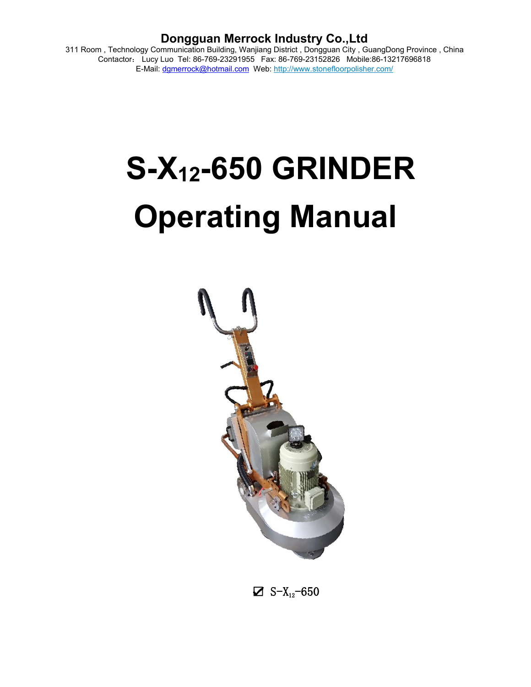311 Room , Technology Communication Building, Wanjiang District , Dongguan City , GuangDong Province , China Contactor: Lucy Luo Tel: 86-769-23291955 Fax: 86-769-23152826 Mobile:86-13217696818 E-Mail: [dgmerrock@hotmail.com](mailto:dgmerrock@hotmail.com) Web: [http://www.stonefloorpolisher.com/](http://www.stonefloorpolisher.com/?custtrade)

# **S-X12-650 GRINDER Operating Manual**



 $\Sigma$  S-X<sub>12</sub>-650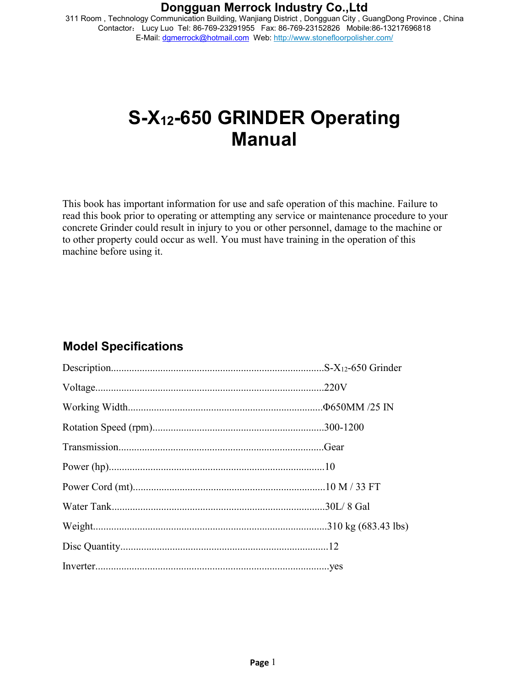311 Room , Technology Communication Building, Wanjiang District , Dongguan City , GuangDong Province , China Contactor: Lucy Luo Tel: 86-769-23291955 Fax: 86-769-23152826 Mobile:86-13217696818 E-Mail: [dgmerrock@hotmail.com](mailto:dgmerrock@hotmail.com) Web: [http://www.stonefloorpolisher.com/](http://www.stonefloorpolisher.com/?custtrade)

# **S-X12-650 GRINDER Operating Manual**

This book has important information for use and safe operation of this machine. Failure to read this book prior to operating or attempting any service or maintenance procedure to your concrete Grinder could result in injury to you or other personnel, damage to the machine or to other property could occur as well. You must have training in the operation of this machine before using it.

## **Model Specifications**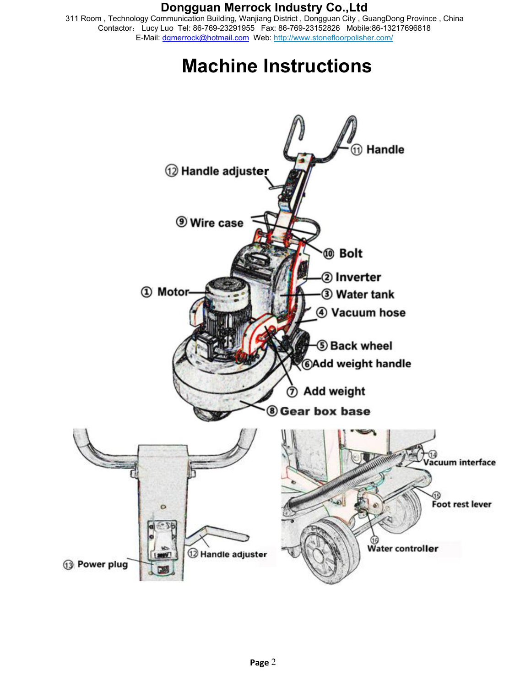311 Room , Technology Communication Building, Wanjiang District , Dongguan City , GuangDong Province , China Contactor: Lucy Luo Tel: 86-769-23291955 Fax: 86-769-23152826 Mobile:86-13217696818 E-Mail: [dgmerrock@hotmail.com](mailto:dgmerrock@hotmail.com) Web: [http://www.stonefloorpolisher.com/](http://www.stonefloorpolisher.com/?custtrade)

# **Machine Instructions**

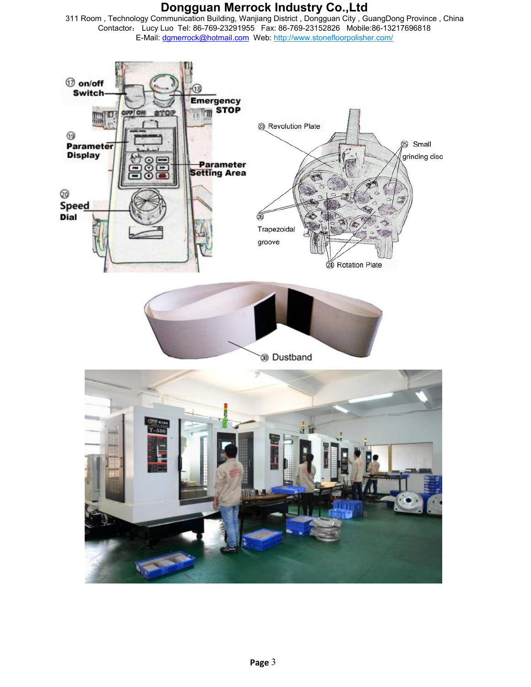311 Room , Technology Communication Building, Wanjiang District , Dongguan City , GuangDong Province , China Contactor: Lucy Luo Tel: 86-769-23291955 Fax: 86-769-23152826 Mobile:86-13217696818 E-Mail: [dgmerrock@hotmail.com](mailto:dgmerrock@hotmail.com) Web: [http://www.stonefloorpolisher.com/](http://www.stonefloorpolisher.com/?custtrade)

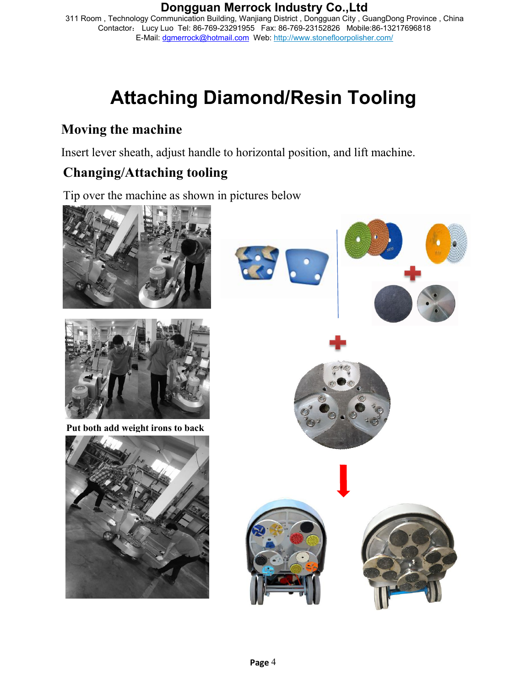311 Room , Technology Communication Building, Wanjiang District , Dongguan City , GuangDong Province , China Contactor: Lucy Luo Tel: 86-769-23291955 Fax: 86-769-23152826 Mobile:86-13217696818 E-Mail: [dgmerrock@hotmail.com](mailto:dgmerrock@hotmail.com) Web: [http://www.stonefloorpolisher.com/](http://www.stonefloorpolisher.com/?custtrade)

# **Attaching Diamond/Resin Tooling**

## **Moving the machine**

Insert lever sheath, adjust handle to horizontal position, and lift machine.

# **Changing/Attaching tooling**

Tip over the machine as shown in pictures below

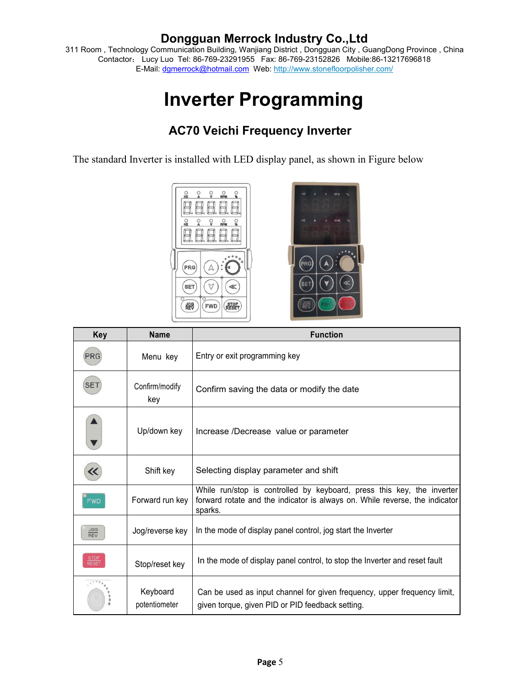311 Room , Technology Communication Building, Wanjiang District , Dongguan City , GuangDong Province , China Contactor: Lucy Luo Tel: 86-769-23291955 Fax: 86-769-23152826 Mobile:86-13217696818 E-Mail: [dgmerrock@hotmail.com](mailto:dgmerrock@hotmail.com) Web: [http://www.stonefloorpolisher.com/](http://www.stonefloorpolisher.com/?custtrade)

# **Inverter Programming**

## **AC70 Veichi Frequency Inverter**

The standard Inverter is installed with LED display panel, as shown in Figure below



| <b>Key</b>                    | <b>Name</b>               | <b>Function</b>                                                                                                                                                  |  |
|-------------------------------|---------------------------|------------------------------------------------------------------------------------------------------------------------------------------------------------------|--|
| <b>PRG</b>                    | Menu key                  | Entry or exit programming key                                                                                                                                    |  |
| <b>SET</b>                    | Confirm/modify<br>key     | Confirm saving the data or modify the date                                                                                                                       |  |
|                               | Up/down key               | Increase /Decrease value or parameter                                                                                                                            |  |
|                               | Shift key                 | Selecting display parameter and shift                                                                                                                            |  |
| <b>FWD</b>                    | Forward run key           | While run/stop is controlled by keyboard, press this key, the inverter<br>forward rotate and the indicator is always on. While reverse, the indicator<br>sparks. |  |
| $rac{\text{JOG}}{\text{REV}}$ | Jog/reverse key           | In the mode of display panel control, jog start the Inverter                                                                                                     |  |
| STOP<br>RESET                 | Stop/reset key            | In the mode of display panel control, to stop the Inverter and reset fault                                                                                       |  |
|                               | Keyboard<br>potentiometer | Can be used as input channel for given frequency, upper frequency limit,<br>given torque, given PID or PID feedback setting.                                     |  |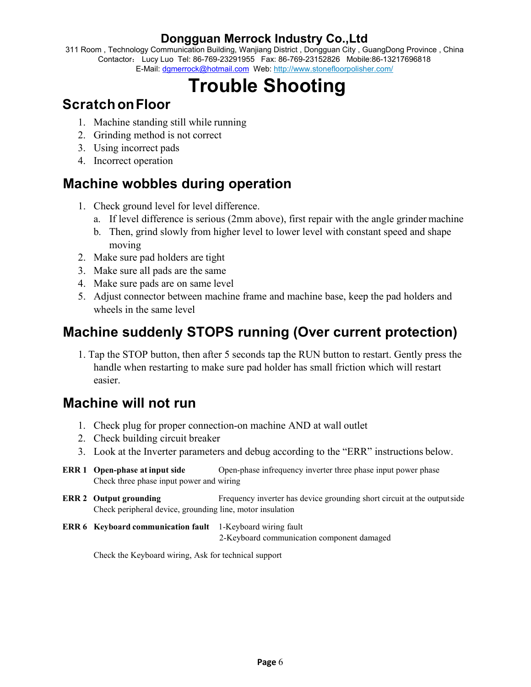311 Room , Technology Communication Building, Wanjiang District , Dongguan City , GuangDong Province , China Contactor: Lucy Luo Tel: 86-769-23291955 Fax: 86-769-23152826 Mobile:86-13217696818 E-Mail: [dgmerrock@hotmail.com](mailto:dgmerrock@hotmail.com) Web: [http://www.stonefloorpolisher.com/](http://www.stonefloorpolisher.com/?custtrade)

# **Trouble Shooting**

# **ScratchonFloor**

- 1. Machine standing still while running
- 2. Grinding method is not correct
- 3. Using incorrect pads
- 4. Incorrect operation

# **Machine wobbles during operation**

- 1. Check ground level for level difference.
	- a. If level difference is serious (2mm above), first repair with the angle grinder machine
	- b. Then, grind slowly from higher level to lower level with constant speed and shape moving
- 2. Make sure pad holders are tight
- 3. Make sure all pads are the same
- 4. Make sure pads are on same level
- 5. Adjust connector between machine frame and machine base, keep the pad holders and wheels in the same level

# **Machine suddenly STOPS running (Over current protection)**

1. Tap the STOP button, then after 5 seconds tap the RUN button to restart. Gently press the handle when restarting to make sure pad holder has small friction which will restart easier.

## **Machine will not run**

- 1. Check plug for proper connection-on machine AND at wall outlet
- 2. Check building circuit breaker
- 3. Look at the Inverter parameters and debug according to the "ERR" instructions below.
- **ERR 1 Open-phase at input side** Open-phase infrequency inverter three phase input power phase Check three phase input power and wiring
- **ERR 2** Output grounding Frequency inverter has device grounding short circuit at the outputside Check peripheral device, grounding line, motor insulation
- **ERR 6 Keyboard communication fault** 1-Keyboard wiring fault 2-Keyboard communication component damaged

Check the Keyboard wiring, Ask for technical support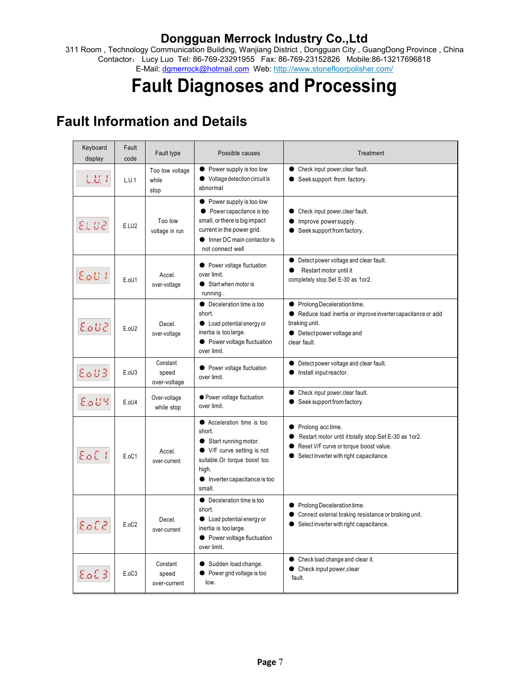311 Room , Technology Communication Building, Wanjiang District , Dongguan City , GuangDong Province , China Contactor: Lucy Luo Tel: 86-769-23291955 Fax: 86-769-23152826 Mobile:86-13217696818 E-Mail: [dgmerrock@hotmail.com](mailto:dgmerrock@hotmail.com) Web: [http://www.stonefloorpolisher.com/](http://www.stonefloorpolisher.com/?custtrade)

# **Fault Diagnoses and Processing**

# **Fault Information and Details**

| Keyboard<br>display | Fault<br>code | Fault type                        | Possible causes                                                                                                                                                                        | Treatment                                                                                                                                                                                    |
|---------------------|---------------|-----------------------------------|----------------------------------------------------------------------------------------------------------------------------------------------------------------------------------------|----------------------------------------------------------------------------------------------------------------------------------------------------------------------------------------------|
| LU I                | L.U.1         | Too low voltage<br>while<br>stop  | $\bullet$ Power supply is too low<br>● Voltage detection circuit is<br>abnormal                                                                                                        | Check input power, clear fault.<br>$\bullet$<br>Seek support from factory.<br>$\bullet$                                                                                                      |
| EL UZ               | E.LU2         | Too low<br>voltage in run         | • Power supply is too low<br>• Power capacitance is too<br>small, or there is big impact<br>current in the power grid.<br>Inner DC main contactor is<br>not connect well               | Check input power, clear fault.<br>$\bullet$<br>Improve powersupply.<br>$\bullet$<br>Seek support from factory.<br>$\bullet$                                                                 |
| $E_0U_1$            | E.oU1         | Accel.<br>over-voltage            | • Power voltage fluctuation<br>over limit.<br>Start when motor is<br>running.                                                                                                          | • Detect power voltage and clear fault.<br>Restart motor until it<br>$\bullet$<br>completely stop.Set E-30 as 1or2.                                                                          |
| E.oU2               | E.oU2         | Decel.<br>over-voltage            | • Deceleration time is too<br>short.<br>• Load potential energy or<br>inertia is too large.<br>• Power voltage fluctuation<br>over limit.                                              | ● Prolong Deceleration time.<br>● Reduce load inertia or improve inverter capacitance or add<br>braking unit.<br>• Detect power voltage and<br>clear fault.                                  |
| EoU3                | E.oU3         | Constant<br>speed<br>over-voltage | • Power voltage fluctuation<br>over limit.                                                                                                                                             | Detect power voltage and clear fault.<br>$\bullet$<br>Install input reactor.<br>$\bullet$                                                                                                    |
| EoUY                | E.oU4         | Over-voltage<br>while stop        | • Power voltage fluctuation<br>over limit.                                                                                                                                             | Check input power, clear fault.<br>$\bullet$<br>● Seek support from factory.                                                                                                                 |
| $E_0E_1$            | E.oC1         | Accel.<br>over-current            | • Acceleration time is too<br>short.<br>Start running motor.<br>● V/F curve setting is not<br>suitable.Or torque boost too<br>high.<br>$\bullet$ Inverter capacitance is too<br>small. | ● Prolong acc time.<br>Restart motor until it totally stop. Set E-30 as 1or2.<br>$\bullet$<br>Reset V/F curve or torque boost value.<br>$\bullet$<br>Select inverter with right capacitance. |
| EoE2                | E.oC2         | Decel.<br>over-current            | • Deceleration time is too<br>short.<br>• Load potential energy or<br>inertia is too large.<br>• Power voltage fluctuation<br>over limit.                                              | ● Prolong Deceleration time.<br>Connect external braking resistance or braking unit.<br>$\bullet$<br>Select inverter with right capacitance.                                                 |
| $E_oE$ 3            | E.oC3         | Constant<br>speed<br>over-current | Sudden load change.<br>• Power grid voltage is too<br>low.                                                                                                                             | • Check load change and clear it.<br>Check input power, clear<br>$\bullet$<br>fault.                                                                                                         |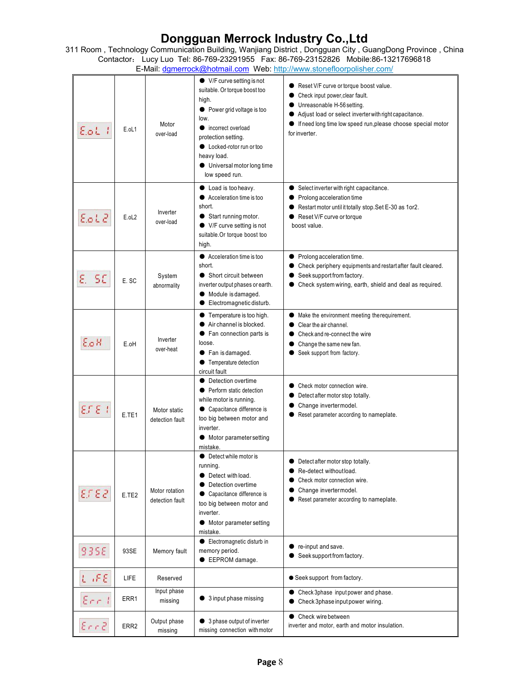311 Room , Technology Communication Building, Wanjiang District , Dongguan City , GuangDong Province , China Contactor: Lucy Luo Tel: 86-769-23291955 Fax: 86-769-23152826 Mobile:86-13217696818 E-Mail: [dgmerrock@hotmail.com](mailto:dgmerrock@hotmail.com) Web: [http://www.stonefloorpolisher.com/](http://www.stonefloorpolisher.com/?custtrade)

| EoL                | E.oL1             | Motor<br>over-load                | $\bullet$ V/F curve setting is not<br>suitable. Or torque boost too<br>high.<br>• Power grid voltage is too<br>low.<br>incorrect overload<br>protection setting.<br>• Locked-rotor run or too<br>heavy load.<br>● Universal motor long time<br>low speed run. | Reset V/F curve or torque boost value.<br>Check input power, clear fault.<br>$\bullet$<br>Unreasonable H-56 setting.<br>0<br>Adjust load or select inverter with right capacitance.<br>$\bullet$<br>• If need long time low speed run, please choose special motor<br>for inverter. |
|--------------------|-------------------|-----------------------------------|---------------------------------------------------------------------------------------------------------------------------------------------------------------------------------------------------------------------------------------------------------------|-------------------------------------------------------------------------------------------------------------------------------------------------------------------------------------------------------------------------------------------------------------------------------------|
| E.oLZ              | E.oL <sub>2</sub> | Inverter<br>over-load             | Load is too heavy.<br>$\bullet$<br>• Acceleration time is too<br>short.<br>Start running motor.<br>● V/F curve setting is not<br>suitable.Or torque boost too<br>high.                                                                                        | Select inverter with right capacitance.<br>$\bullet$<br>Prolong acceleration time<br>● Restart motor until it totally stop. Set E-30 as 1or2.<br>Reset V/F curve or torque<br>boost value.                                                                                          |
| SC<br>Ε.           | E.SC              | System<br>abnormality             | ● Acceleration time is too<br>short.<br>• Short circuit between<br>inverter output phases or earth.<br>• Module is damaged.<br>Electromagnetic disturb.<br>$\bullet$                                                                                          | ● Prolong acceleration time.<br>Check periphery equipments and restart after fault cleared.<br>Seek support from factory.<br>Check system wiring, earth, shield and deal as required.                                                                                               |
| ЕоН                | E.oH              | Inverter<br>over-heat             | • Temperature is too high.<br>Air channel is blocked.<br>Fan connection parts is<br>$\bullet$<br>loose.<br>● Fan is damaged.<br>• Temperature detection<br>circuit fault                                                                                      | Make the environment meeting therequirement.<br>$\bullet$<br>Clear the air channel.<br>Check and re-connect the wire<br>Change the same new fan.<br>● Seek support from factory.                                                                                                    |
| ETE I              | E.TE1             | Motor static<br>detection fault   | Detection overtime<br>0<br>Perform static detection<br>while motor is running.<br>• Capacitance difference is<br>too big between motor and<br>inverter.<br>Motor parameter setting<br>$\bullet$<br>mistake.                                                   | Check motor connection wire.<br>0<br>Detect after motor stop totally.<br>0<br>Change invertermodel.<br>0<br>Reset parameter according to nameplate.                                                                                                                                 |
| EL ES              | E.TE2             | Motor rotation<br>detection fault | • Detect while motor is<br>running.<br>• Detect with load.<br>Detection overtime<br>0<br>• Capacitance difference is<br>too big between motor and<br>inverter.<br>• Motor parameter setting<br>mistake.                                                       | Detect after motor stop totally.<br>Re-detect without load.<br>Check motor connection wire.<br>Change invertermodel.<br>∍<br>Reset parameter according to nameplate.                                                                                                                |
| <b>935E</b>        | 93SE              | Memory fault                      | Electromagnetic disturb in<br>$\bullet$<br>memory period.<br>EEPROM damage.                                                                                                                                                                                   | $\bullet$ re-input and save.<br>● Seek support from factory.                                                                                                                                                                                                                        |
| LIFE               | LIFE              | Reserved                          |                                                                                                                                                                                                                                                               | • Seek support from factory.                                                                                                                                                                                                                                                        |
| $\mathcal{E}$ rr 1 | ERR1              | Input phase<br>missing            | • 3 input phase missing                                                                                                                                                                                                                                       | • Check 3phase input power and phase.<br>Check 3phase input power wiring.<br>0                                                                                                                                                                                                      |
| Err2               | ERR <sub>2</sub>  | Output phase<br>missing           | ● 3 phase output of inverter<br>missing connection with motor                                                                                                                                                                                                 | Check wire between<br>$\bullet$<br>inverter and motor, earth and motor insulation.                                                                                                                                                                                                  |